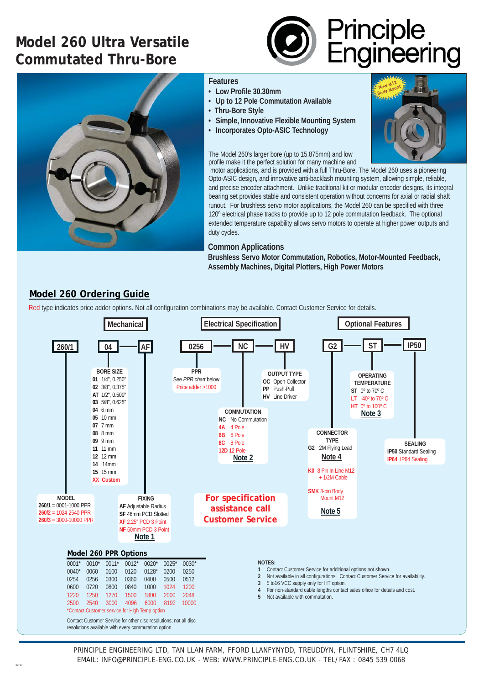# **Model 260 Ultra Versatile Commutated Thru-Bore**





#### **Features**

- **Low Profile 30.30mm**
- **Up to 12 Pole Commutation Available**
- **Thru-Bore Style**
- **Simple, Innovative Flexible Mounting System**
- **Incorporates Opto-ASIC Technology**

#### The Model 260's larger bore (up to 15.875mm) and low profile make it the perfect solution for many machine and



 motor applications, and is provided with a full Thru-Bore. The Model 260 uses a pioneering Opto-ASIC design, and innovative anti-backlash mounting system, allowing simple, reliable, and precise encoder attachment. Unlike traditional kit or modular encoder designs, its integral bearing set provides stable and consistent operation without concerns for axial or radial shaft runout. For brushless servo motor applications, the Model 260 can be specified with three 120º electrical phase tracks to provide up to 12 pole commutation feedback. The optional extended temperature capability allows servo motors to operate at higher power outputs and duty cycles.

### **Common Applications**

**Brushless Servo Motor Commutation, Robotics, Motor-Mounted Feedback, Assembly Machines, Digital Plotters, High Power Motors**

## **Model 260 Ordering Guide**

Red type indicates price adder options. Not all configuration combinations may be available. Contact Customer Service for details.



Contact Customer Service for other disc resolutions; not all disc resolutions available with every commutation option.